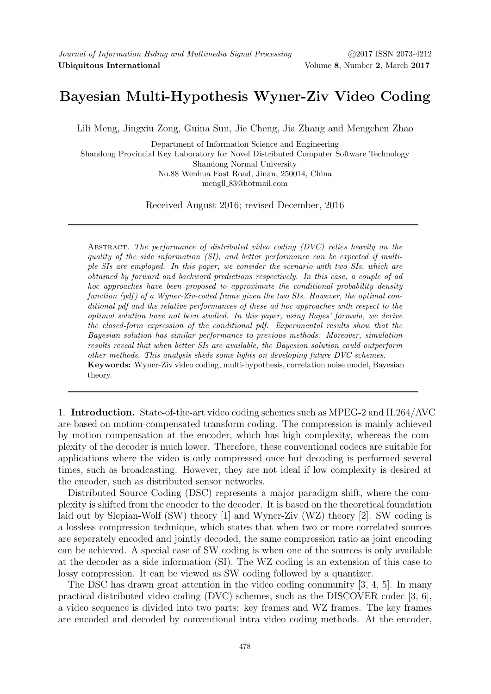## Bayesian Multi-Hypothesis Wyner-Ziv Video Coding

Lili Meng, Jingxiu Zong, Guina Sun, Jie Cheng, Jia Zhang and Mengchen Zhao

Department of Information Science and Engineering Shandong Provincial Key Laboratory for Novel Distributed Computer Software Technology Shandong Normal University No.88 Wenhua East Road, Jinan, 250014, China mengll 83@hotmail.com

Received August 2016; revised December, 2016

Abstract. The performance of distributed video coding (DVC) relies heavily on the quality of the side information (SI), and better performance can be expected if multiple SIs are employed. In this paper, we consider the scenario with two SIs, which are obtained by forward and backward predictions respectively. In this case, a couple of ad hoc approaches have been proposed to approximate the conditional probability density function  $(pdf)$  of a Wyner-Ziv-coded frame given the two SIs. However, the optimal conditional pdf and the relative performances of these ad hoc approaches with respect to the optimal solution have not been studied. In this paper, using Bayes' formula, we derive the closed-form expression of the conditional pdf. Experimental results show that the Bayesian solution has similar performance to previous methods. Moreover, simulation results reveal that when better SIs are available, the Bayesian solution could outperform other methods. This analysis sheds some lights on developing future DVC schemes. Keywords: Wyner-Ziv video coding, multi-hypothesis, correlation noise model, Bayesian theory.

1. Introduction. State-of-the-art video coding schemes such as MPEG-2 and H.264/AVC are based on motion-compensated transform coding. The compression is mainly achieved by motion compensation at the encoder, which has high complexity, whereas the complexity of the decoder is much lower. Therefore, these conventional codecs are suitable for applications where the video is only compressed once but decoding is performed several times, such as broadcasting. However, they are not ideal if low complexity is desired at the encoder, such as distributed sensor networks.

Distributed Source Coding (DSC) represents a major paradigm shift, where the complexity is shifted from the encoder to the decoder. It is based on the theoretical foundation laid out by Slepian-Wolf (SW) theory [1] and Wyner-Ziv (WZ) theory [2]. SW coding is a lossless compression technique, which states that when two or more correlated sources are seperately encoded and jointly decoded, the same compression ratio as joint encoding can be achieved. A special case of SW coding is when one of the sources is only available at the decoder as a side information (SI). The WZ coding is an extension of this case to lossy compression. It can be viewed as SW coding followed by a quantizer.

The DSC has drawn great attention in the video coding community [3, 4, 5]. In many practical distributed video coding (DVC) schemes, such as the DISCOVER codec [3, 6], a video sequence is divided into two parts: key frames and WZ frames. The key frames are encoded and decoded by conventional intra video coding methods. At the encoder,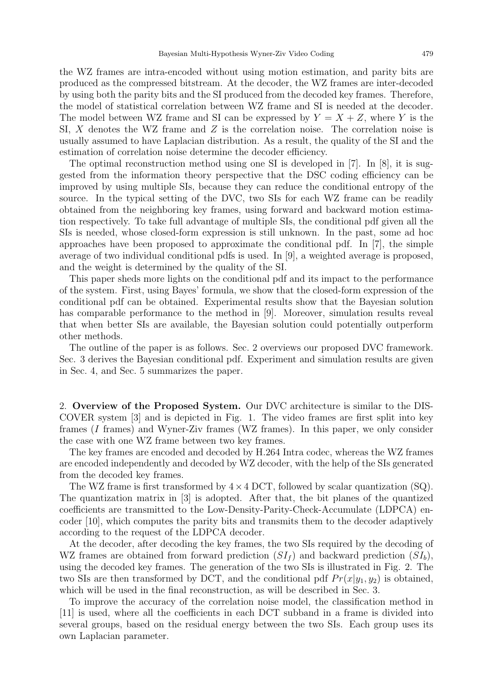the WZ frames are intra-encoded without using motion estimation, and parity bits are produced as the compressed bitstream. At the decoder, the WZ frames are inter-decoded by using both the parity bits and the SI produced from the decoded key frames. Therefore, the model of statistical correlation between WZ frame and SI is needed at the decoder. The model between WZ frame and SI can be expressed by  $Y = X + Z$ , where Y is the SI,  $X$  denotes the WZ frame and  $Z$  is the correlation noise. The correlation noise is usually assumed to have Laplacian distribution. As a result, the quality of the SI and the estimation of correlation noise determine the decoder efficiency.

The optimal reconstruction method using one SI is developed in [7]. In [8], it is suggested from the information theory perspective that the DSC coding efficiency can be improved by using multiple SIs, because they can reduce the conditional entropy of the source. In the typical setting of the DVC, two SIs for each WZ frame can be readily obtained from the neighboring key frames, using forward and backward motion estimation respectively. To take full advantage of multiple SIs, the conditional pdf given all the SIs is needed, whose closed-form expression is still unknown. In the past, some ad hoc approaches have been proposed to approximate the conditional pdf. In [7], the simple average of two individual conditional pdfs is used. In [9], a weighted average is proposed, and the weight is determined by the quality of the SI.

This paper sheds more lights on the conditional pdf and its impact to the performance of the system. First, using Bayes' formula, we show that the closed-form expression of the conditional pdf can be obtained. Experimental results show that the Bayesian solution has comparable performance to the method in [9]. Moreover, simulation results reveal that when better SIs are available, the Bayesian solution could potentially outperform other methods.

The outline of the paper is as follows. Sec. 2 overviews our proposed DVC framework. Sec. 3 derives the Bayesian conditional pdf. Experiment and simulation results are given in Sec. 4, and Sec. 5 summarizes the paper.

2. Overview of the Proposed System. Our DVC architecture is similar to the DIS-COVER system [3] and is depicted in Fig. 1. The video frames are first split into key frames (I frames) and Wyner-Ziv frames (WZ frames). In this paper, we only consider the case with one WZ frame between two key frames.

The key frames are encoded and decoded by H.264 Intra codec, whereas the WZ frames are encoded independently and decoded by WZ decoder, with the help of the SIs generated from the decoded key frames.

The WZ frame is first transformed by  $4 \times 4$  DCT, followed by scalar quantization (SQ). The quantization matrix in [3] is adopted. After that, the bit planes of the quantized coefficients are transmitted to the Low-Density-Parity-Check-Accumulate (LDPCA) encoder [10], which computes the parity bits and transmits them to the decoder adaptively according to the request of the LDPCA decoder.

At the decoder, after decoding the key frames, the two SIs required by the decoding of WZ frames are obtained from forward prediction  $(SI_f)$  and backward prediction  $(SI_b)$ , using the decoded key frames. The generation of the two SIs is illustrated in Fig. 2. The two SIs are then transformed by DCT, and the conditional pdf  $Pr(x|y_1, y_2)$  is obtained, which will be used in the final reconstruction, as will be described in Sec. 3.

To improve the accuracy of the correlation noise model, the classification method in [11] is used, where all the coefficients in each DCT subband in a frame is divided into several groups, based on the residual energy between the two SIs. Each group uses its own Laplacian parameter.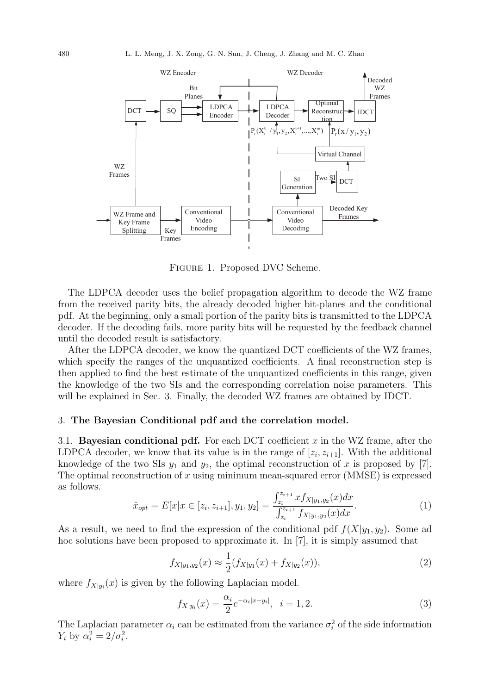

Figure 1. Proposed DVC Scheme.

The LDPCA decoder uses the belief propagation algorithm to decode the WZ frame from the received parity bits, the already decoded higher bit-planes and the conditional pdf. At the beginning, only a small portion of the parity bits is transmitted to the LDPCA decoder. If the decoding fails, more parity bits will be requested by the feedback channel until the decoded result is satisfactory.

After the LDPCA decoder, we know the quantized DCT coefficients of the WZ frames, which specify the ranges of the unquantized coefficients. A final reconstruction step is then applied to find the best estimate of the unquantized coefficients in this range, given the knowledge of the two SIs and the corresponding correlation noise parameters. This will be explained in Sec. 3. Finally, the decoded WZ frames are obtained by IDCT.

## 3. The Bayesian Conditional pdf and the correlation model.

3.1. Bayesian conditional pdf. For each DCT coefficient  $x$  in the WZ frame, after the LDPCA decoder, we know that its value is in the range of  $[z_i, z_{i+1}]$ . With the additional knowledge of the two SIs  $y_1$  and  $y_2$ , the optimal reconstruction of x is proposed by [7]. The optimal reconstruction of  $x$  using minimum mean-squared error (MMSE) is expressed as follows.

$$
\hat{x}_{opt} = E[x|x \in [z_i, z_{i+1}], y_1, y_2] = \frac{\int_{z_i}^{z_{i+1}} x f_{X|y_1, y_2}(x) dx}{\int_{z_i}^{z_{i+1}} f_{X|y_1, y_2}(x) dx}.
$$
\n(1)

As a result, we need to find the expression of the conditional pdf  $f(X|y_1, y_2)$ . Some ad hoc solutions have been proposed to approximate it. In [7], it is simply assumed that

$$
f_{X|y_1,y_2}(x) \approx \frac{1}{2}(f_{X|y_1}(x) + f_{X|y_2}(x)),
$$
\n(2)

where  $f_{X|y_i}(x)$  is given by the following Laplacian model.

$$
f_{X|y_i}(x) = \frac{\alpha_i}{2} e^{-\alpha_i |x - y_i|}, \ \ i = 1, 2. \tag{3}
$$

The Laplacian parameter  $\alpha_i$  can be estimated from the variance  $\sigma_i^2$  of the side information  $Y_i$  by  $\alpha_i^2 = 2/\sigma_i^2$ .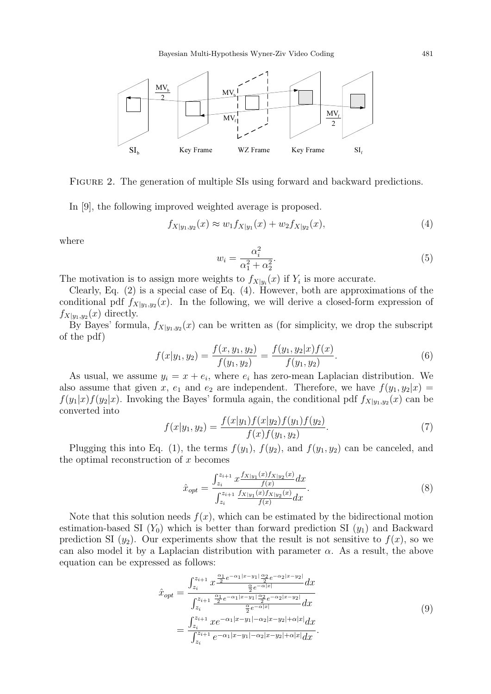

FIGURE 2. The generation of multiple SIs using forward and backward predictions.

In [9], the following improved weighted average is proposed.

$$
f_{X|y_1,y_2}(x) \approx w_1 f_{X|y_1}(x) + w_2 f_{X|y_2}(x), \tag{4}
$$

where

$$
w_i = \frac{\alpha_i^2}{\alpha_1^2 + \alpha_2^2}.\tag{5}
$$

The motivation is to assign more weights to  $f_{X|y_i}(x)$  if  $Y_i$  is more accurate.

Clearly, Eq. (2) is a special case of Eq. (4). However, both are approximations of the conditional pdf  $f_{X|y_1,y_2}(x)$ . In the following, we will derive a closed-form expression of  $f_{X|y_1,y_2}(x)$  directly.

By Bayes' formula,  $f_{X|y_1,y_2}(x)$  can be written as (for simplicity, we drop the subscript of the pdf)

$$
f(x|y_1, y_2) = \frac{f(x, y_1, y_2)}{f(y_1, y_2)} = \frac{f(y_1, y_2|x)f(x)}{f(y_1, y_2)}.
$$
\n(6)

As usual, we assume  $y_i = x + e_i$ , where  $e_i$  has zero-mean Laplacian distribution. We also assume that given x,  $e_1$  and  $e_2$  are independent. Therefore, we have  $f(y_1, y_2|x) =$  $f(y_1|x)f(y_2|x)$ . Invoking the Bayes' formula again, the conditional pdf  $f_{X|y_1,y_2}(x)$  can be converted into

$$
f(x|y_1, y_2) = \frac{f(x|y_1)f(x|y_2)f(y_1)f(y_2)}{f(x)f(y_1, y_2)}.
$$
\n(7)

Plugging this into Eq. (1), the terms  $f(y_1)$ ,  $f(y_2)$ , and  $f(y_1, y_2)$  can be canceled, and the optimal reconstruction of  $x$  becomes

$$
\hat{x}_{opt} = \frac{\int_{z_i}^{z_{i+1}} x \frac{f_{X|y_1}(x) f_{X|y_2}(x)}{f(x)} dx}{\int_{z_i}^{z_{i+1}} \frac{f_{X|y_1}(x) f_{X|y_2}(x)}{f(x)} dx}.
$$
\n(8)

Note that this solution needs  $f(x)$ , which can be estimated by the bidirectional motion estimation-based SI  $(Y_0)$  which is better than forward prediction SI  $(y_1)$  and Backward prediction SI  $(y_2)$ . Our experiments show that the result is not sensitive to  $f(x)$ , so we can also model it by a Laplacian distribution with parameter  $\alpha$ . As a result, the above equation can be expressed as follows:

$$
\hat{x}_{opt} = \frac{\int_{z_i}^{z_{i+1}} x^{\frac{\alpha_1}{2}e^{-\alpha_1|x-y_1|\frac{\alpha_2}{2}e^{-\alpha_2|x-y_2|}} dx}{\int_{z_i}^{z_{i+1}} \frac{\frac{\alpha_1}{2}e^{-\alpha_1|x-y_1|\frac{\alpha_2}{2}e^{-\alpha_2|x-y_2|}} dx}{\frac{\frac{\alpha_2}{2}e^{-\alpha_1|x-y_1|}}{\frac{\alpha_2}{2}e^{-\alpha_2|x-y_2|}} dx}
$$
\n
$$
= \frac{\int_{z_i}^{z_{i+1}} x e^{-\alpha_1|x-y_1|-\alpha_2|x-y_2|+\alpha|x|} dx}{\int_{z_i}^{z_{i+1}} e^{-\alpha_1|x-y_1|-\alpha_2|x-y_2|+\alpha|x|} dx}.
$$
\n(9)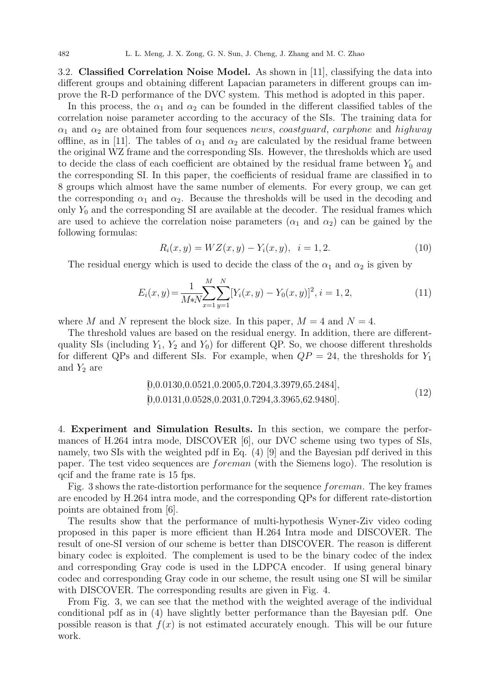3.2. Classified Correlation Noise Model. As shown in [11], classifying the data into different groups and obtaining different Lapacian parameters in different groups can improve the R-D performance of the DVC system. This method is adopted in this paper.

In this process, the  $\alpha_1$  and  $\alpha_2$  can be founded in the different classified tables of the correlation noise parameter according to the accuracy of the SIs. The training data for  $\alpha_1$  and  $\alpha_2$  are obtained from four sequences news, coastguard, carphone and highway offline, as in [11]. The tables of  $\alpha_1$  and  $\alpha_2$  are calculated by the residual frame between the original WZ frame and the corresponding SIs. However, the thresholds which are used to decide the class of each coefficient are obtained by the residual frame between  $Y_0$  and the corresponding SI. In this paper, the coefficients of residual frame are classified in to 8 groups which almost have the same number of elements. For every group, we can get the corresponding  $\alpha_1$  and  $\alpha_2$ . Because the thresholds will be used in the decoding and only  $Y_0$  and the corresponding SI are available at the decoder. The residual frames which are used to achieve the correlation noise parameters  $(\alpha_1$  and  $\alpha_2)$  can be gained by the following formulas:

$$
R_i(x, y) = WZ(x, y) - Y_i(x, y), \quad i = 1, 2.
$$
\n(10)

The residual energy which is used to decide the class of the  $\alpha_1$  and  $\alpha_2$  is given by

$$
E_i(x,y) = \frac{1}{M*N} \sum_{x=1}^{M} \sum_{y=1}^{N} [Y_i(x,y) - Y_0(x,y)]^2, i = 1,2,
$$
\n(11)

where M and N represent the block size. In this paper,  $M = 4$  and  $N = 4$ .

The threshold values are based on the residual energy. In addition, there are differentquality SIs (including  $Y_1, Y_2$  and  $Y_0$ ) for different QP. So, we choose different thresholds for different QPs and different SIs. For example, when  $QP = 24$ , the thresholds for  $Y_1$ and  $Y_2$  are

$$
[0,0.0130,0.0521,0.2005,0.7204,3.3979,65.2484],[0,0.0131,0.0528,0.2031,0.7294,3.3965,62.9480].
$$
\n(12)

4. Experiment and Simulation Results. In this section, we compare the performances of H.264 intra mode, DISCOVER [6], our DVC scheme using two types of SIs, namely, two SIs with the weighted pdf in Eq. (4) [9] and the Bayesian pdf derived in this paper. The test video sequences are foreman (with the Siemens logo). The resolution is qcif and the frame rate is 15 fps.

Fig. 3 shows the rate-distortion performance for the sequence foreman. The key frames are encoded by H.264 intra mode, and the corresponding QPs for different rate-distortion points are obtained from [6].

The results show that the performance of multi-hypothesis Wyner-Ziv video coding proposed in this paper is more efficient than H.264 Intra mode and DISCOVER. The result of one-SI version of our scheme is better than DISCOVER. The reason is different binary codec is exploited. The complement is used to be the binary codec of the index and corresponding Gray code is used in the LDPCA encoder. If using general binary codec and corresponding Gray code in our scheme, the result using one SI will be similar with DISCOVER. The corresponding results are given in Fig. 4.

From Fig. 3, we can see that the method with the weighted average of the individual conditional pdf as in (4) have slightly better performance than the Bayesian pdf. One possible reason is that  $f(x)$  is not estimated accurately enough. This will be our future work.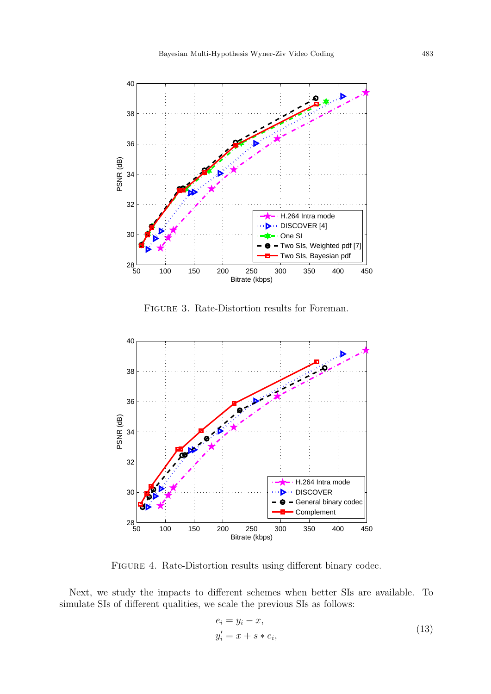

Figure 3. Rate-Distortion results for Foreman.



FIGURE 4. Rate-Distortion results using different binary codec.

Next, we study the impacts to different schemes when better SIs are available. To simulate SIs of different qualities, we scale the previous SIs as follows:

$$
e_i = y_i - x,
$$
  
\n
$$
y'_i = x + s * e_i,
$$
\n(13)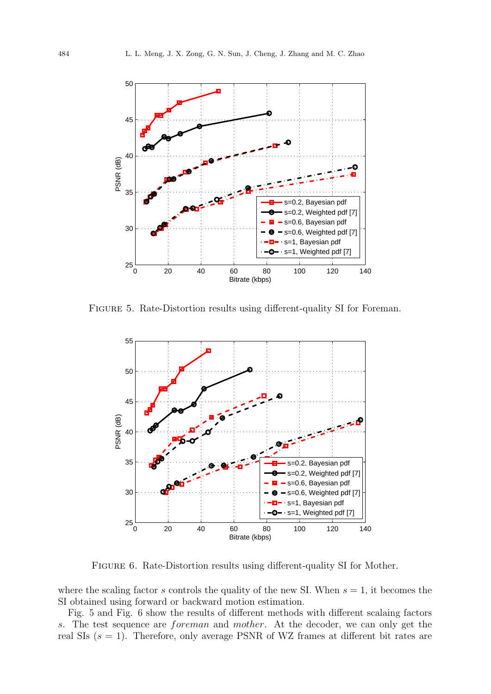

Figure 5. Rate-Distortion results using different-quality SI for Foreman.



FIGURE 6. Rate-Distortion results using different-quality SI for Mother.

where the scaling factor s controls the quality of the new SI. When  $s = 1$ , it becomes the SI obtained using forward or backward motion estimation.

Fig. 5 and Fig. 6 show the results of different methods with different scalaing factors s. The test sequence are foreman and mother. At the decoder, we can only get the real SIs  $(s = 1)$ . Therefore, only average PSNR of WZ frames at different bit rates are